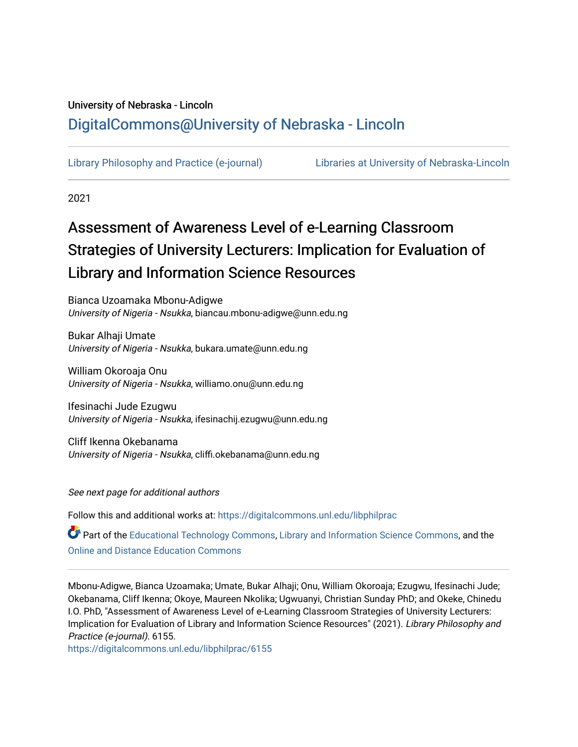# University of Nebraska - Lincoln [DigitalCommons@University of Nebraska - Lincoln](https://digitalcommons.unl.edu/)

[Library Philosophy and Practice \(e-journal\)](https://digitalcommons.unl.edu/libphilprac) [Libraries at University of Nebraska-Lincoln](https://digitalcommons.unl.edu/libraries) 

2021

# Assessment of Awareness Level of e-Learning Classroom Strategies of University Lecturers: Implication for Evaluation of Library and Information Science Resources

Bianca Uzoamaka Mbonu-Adigwe University of Nigeria - Nsukka, biancau.mbonu-adigwe@unn.edu.ng

Bukar Alhaji Umate University of Nigeria - Nsukka, bukara.umate@unn.edu.ng

William Okoroaja Onu University of Nigeria - Nsukka, williamo.onu@unn.edu.ng

Ifesinachi Jude Ezugwu University of Nigeria - Nsukka, ifesinachij.ezugwu@unn.edu.ng

Cliff Ikenna Okebanama University of Nigeria - Nsukka, cliffi.okebanama@unn.edu.ng

See next page for additional authors

Follow this and additional works at: [https://digitalcommons.unl.edu/libphilprac](https://digitalcommons.unl.edu/libphilprac?utm_source=digitalcommons.unl.edu%2Flibphilprac%2F6155&utm_medium=PDF&utm_campaign=PDFCoverPages) 

Part of the [Educational Technology Commons,](http://network.bepress.com/hgg/discipline/1415?utm_source=digitalcommons.unl.edu%2Flibphilprac%2F6155&utm_medium=PDF&utm_campaign=PDFCoverPages) [Library and Information Science Commons,](http://network.bepress.com/hgg/discipline/1018?utm_source=digitalcommons.unl.edu%2Flibphilprac%2F6155&utm_medium=PDF&utm_campaign=PDFCoverPages) and the [Online and Distance Education Commons](http://network.bepress.com/hgg/discipline/1296?utm_source=digitalcommons.unl.edu%2Flibphilprac%2F6155&utm_medium=PDF&utm_campaign=PDFCoverPages) 

Mbonu-Adigwe, Bianca Uzoamaka; Umate, Bukar Alhaji; Onu, William Okoroaja; Ezugwu, Ifesinachi Jude; Okebanama, Cliff Ikenna; Okoye, Maureen Nkolika; Ugwuanyi, Christian Sunday PhD; and Okeke, Chinedu I.O. PhD, "Assessment of Awareness Level of e-Learning Classroom Strategies of University Lecturers: Implication for Evaluation of Library and Information Science Resources" (2021). Library Philosophy and Practice (e-journal). 6155.

[https://digitalcommons.unl.edu/libphilprac/6155](https://digitalcommons.unl.edu/libphilprac/6155?utm_source=digitalcommons.unl.edu%2Flibphilprac%2F6155&utm_medium=PDF&utm_campaign=PDFCoverPages)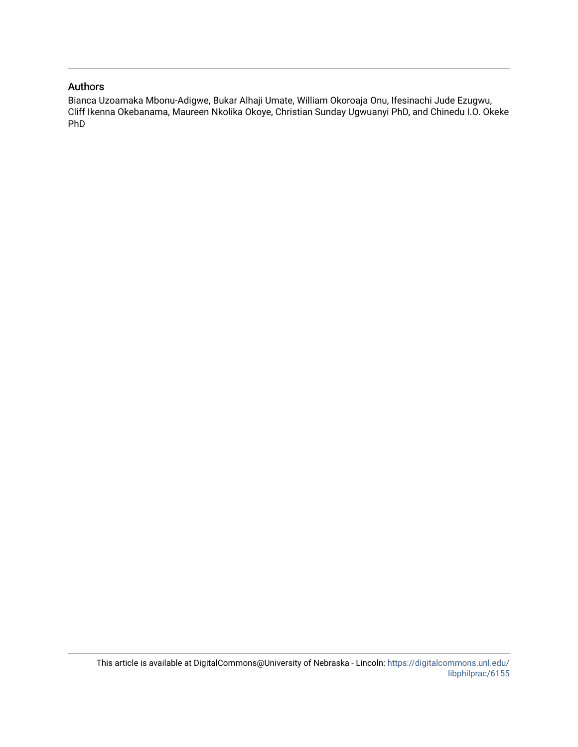#### Authors

Bianca Uzoamaka Mbonu-Adigwe, Bukar Alhaji Umate, William Okoroaja Onu, Ifesinachi Jude Ezugwu, Cliff Ikenna Okebanama, Maureen Nkolika Okoye, Christian Sunday Ugwuanyi PhD, and Chinedu I.O. Okeke PhD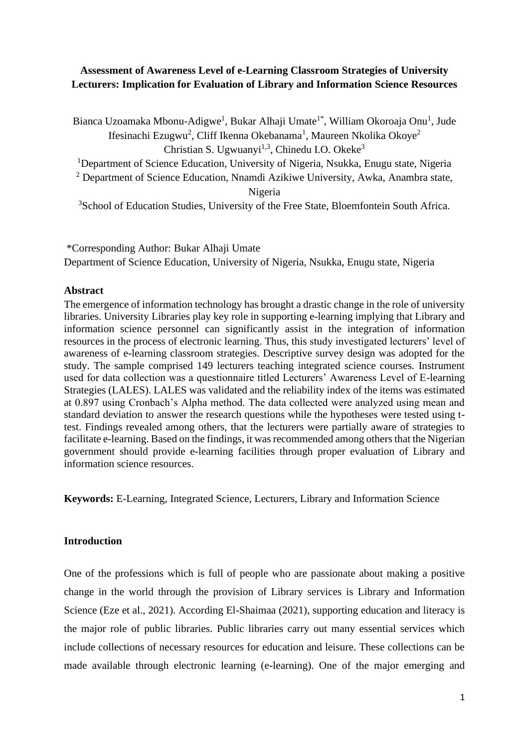# **Assessment of Awareness Level of e-Learning Classroom Strategies of University Lecturers: Implication for Evaluation of Library and Information Science Resources**

Bianca Uzoamaka Mbonu-Adigwe<sup>1</sup>, Bukar Alhaji Umate<sup>1\*</sup>, William Okoroaja Onu<sup>1</sup>, Jude Ifesinachi Ezugwu<sup>2</sup>, Cliff Ikenna Okebanama<sup>1</sup>, Maureen Nkolika Okoye<sup>2</sup> Christian S. Ugwuanyi<sup>1,3</sup>, Chinedu I.O. Okeke<sup>3</sup>

<sup>1</sup>Department of Science Education, University of Nigeria, Nsukka, Enugu state, Nigeria

<sup>2</sup> Department of Science Education, Nnamdi Azikiwe University, Awka, Anambra state,

Nigeria

<sup>3</sup>School of Education Studies, University of the Free State, Bloemfontein South Africa.

\*Corresponding Author: Bukar Alhaji Umate Department of Science Education, University of Nigeria, Nsukka, Enugu state, Nigeria

#### **Abstract**

The emergence of information technology has brought a drastic change in the role of university libraries. University Libraries play key role in supporting e-learning implying that Library and information science personnel can significantly assist in the integration of information resources in the process of electronic learning. Thus, this study investigated lecturers' level of awareness of e-learning classroom strategies. Descriptive survey design was adopted for the study. The sample comprised 149 lecturers teaching integrated science courses. Instrument used for data collection was a questionnaire titled Lecturers' Awareness Level of E-learning Strategies (LALES). LALES was validated and the reliability index of the items was estimated at 0.897 using Cronbach's Alpha method. The data collected were analyzed using mean and standard deviation to answer the research questions while the hypotheses were tested using ttest. Findings revealed among others, that the lecturers were partially aware of strategies to facilitate e-learning. Based on the findings, it was recommended among others that the Nigerian government should provide e-learning facilities through proper evaluation of Library and information science resources.

**Keywords:** E-Learning, Integrated Science, Lecturers, Library and Information Science

#### **Introduction**

One of the professions which is full of people who are passionate about making a positive change in the world through the provision of Library services is Library and Information Science (Eze et al., 2021). According El-Shaimaa (2021), supporting education and literacy is the major role of public libraries. Public libraries carry out many essential services which include collections of necessary resources for education and leisure. These collections can be made available through electronic learning (e-learning). One of the major emerging and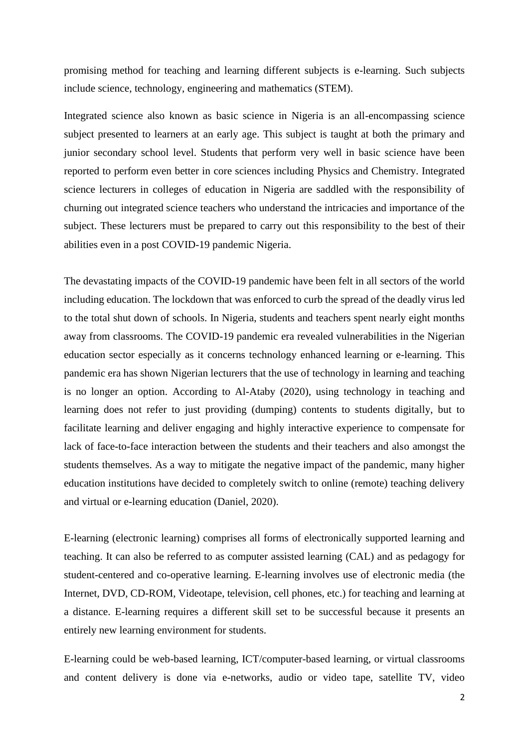promising method for teaching and learning different subjects is e-learning. Such subjects include science, technology, engineering and mathematics (STEM).

Integrated science also known as basic science in Nigeria is an all-encompassing science subject presented to learners at an early age. This subject is taught at both the primary and junior secondary school level. Students that perform very well in basic science have been reported to perform even better in core sciences including Physics and Chemistry. Integrated science lecturers in colleges of education in Nigeria are saddled with the responsibility of churning out integrated science teachers who understand the intricacies and importance of the subject. These lecturers must be prepared to carry out this responsibility to the best of their abilities even in a post COVID-19 pandemic Nigeria.

The devastating impacts of the COVID-19 pandemic have been felt in all sectors of the world including education. The lockdown that was enforced to curb the spread of the deadly virus led to the total shut down of schools. In Nigeria, students and teachers spent nearly eight months away from classrooms. The COVID-19 pandemic era revealed vulnerabilities in the Nigerian education sector especially as it concerns technology enhanced learning or e-learning. This pandemic era has shown Nigerian lecturers that the use of technology in learning and teaching is no longer an option. According to Al-Ataby (2020), using technology in teaching and learning does not refer to just providing (dumping) contents to students digitally, but to facilitate learning and deliver engaging and highly interactive experience to compensate for lack of face-to-face interaction between the students and their teachers and also amongst the students themselves. As a way to mitigate the negative impact of the pandemic, many higher education institutions have decided to completely switch to online (remote) teaching delivery and virtual or e-learning education (Daniel, 2020).

E-learning (electronic learning) comprises all forms of electronically supported learning and teaching. It can also be referred to as computer assisted learning (CAL) and as pedagogy for student-centered and co-operative learning. E-learning involves use of electronic media (the Internet, DVD, CD-ROM, Videotape, television, cell phones, etc.) for teaching and learning at a distance. E-learning requires a different skill set to be successful because it presents an entirely new learning environment for students.

E-learning could be web-based learning, ICT/computer-based learning, or virtual classrooms and content delivery is done via e-networks, audio or video tape, satellite TV, video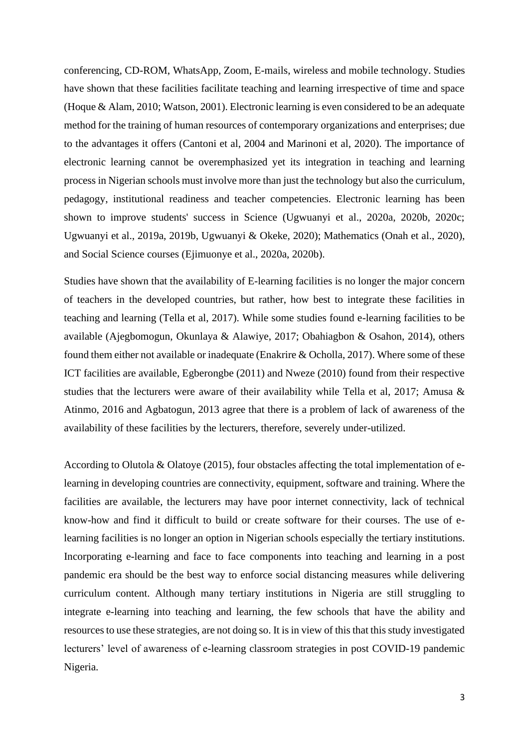conferencing, CD-ROM, WhatsApp, Zoom, E-mails, wireless and mobile technology. Studies have shown that these facilities facilitate teaching and learning irrespective of time and space (Hoque & Alam, 2010; Watson, 2001). Electronic learning is even considered to be an adequate method for the training of human resources of contemporary organizations and enterprises; due to the advantages it offers (Cantoni et al, 2004 and Marinoni et al, 2020). The importance of electronic learning cannot be overemphasized yet its integration in teaching and learning process in Nigerian schools must involve more than just the technology but also the curriculum, pedagogy, institutional readiness and teacher competencies. Electronic learning has been shown to improve students' success in Science (Ugwuanyi et al., 2020a, 2020b, 2020c; Ugwuanyi et al., 2019a, 2019b, Ugwuanyi & Okeke, 2020); Mathematics (Onah et al., 2020), and Social Science courses (Ejimuonye et al., 2020a, 2020b).

Studies have shown that the availability of E-learning facilities is no longer the major concern of teachers in the developed countries, but rather, how best to integrate these facilities in teaching and learning (Tella et al, 2017). While some studies found e-learning facilities to be available (Ajegbomogun, Okunlaya & Alawiye, 2017; Obahiagbon & Osahon, 2014), others found them either not available or inadequate (Enakrire & Ocholla, 2017). Where some of these ICT facilities are available, Egberongbe (2011) and Nweze (2010) found from their respective studies that the lecturers were aware of their availability while Tella et al, 2017; Amusa & Atinmo, 2016 and Agbatogun, 2013 agree that there is a problem of lack of awareness of the availability of these facilities by the lecturers, therefore, severely under-utilized.

According to Olutola & Olatoye (2015), four obstacles affecting the total implementation of elearning in developing countries are connectivity, equipment, software and training. Where the facilities are available, the lecturers may have poor internet connectivity, lack of technical know-how and find it difficult to build or create software for their courses. The use of elearning facilities is no longer an option in Nigerian schools especially the tertiary institutions. Incorporating e-learning and face to face components into teaching and learning in a post pandemic era should be the best way to enforce social distancing measures while delivering curriculum content. Although many tertiary institutions in Nigeria are still struggling to integrate e-learning into teaching and learning, the few schools that have the ability and resources to use these strategies, are not doing so. It is in view of this that this study investigated lecturers' level of awareness of e-learning classroom strategies in post COVID-19 pandemic Nigeria.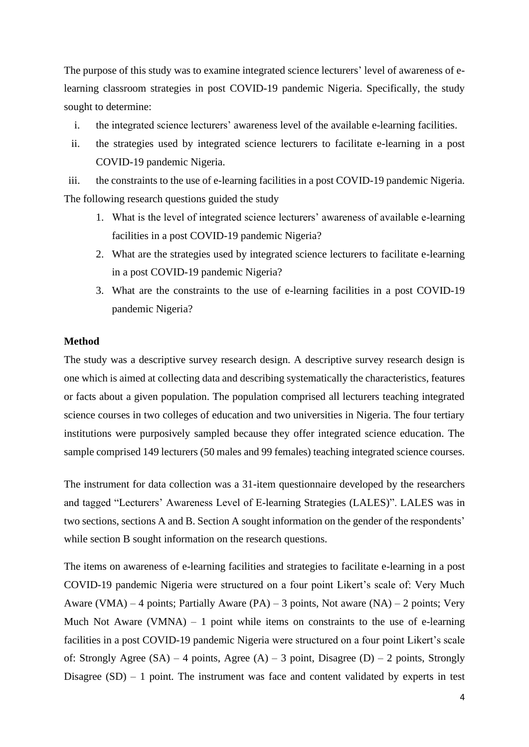The purpose of this study was to examine integrated science lecturers' level of awareness of elearning classroom strategies in post COVID-19 pandemic Nigeria. Specifically, the study sought to determine:

- i. the integrated science lecturers' awareness level of the available e-learning facilities.
- ii. the strategies used by integrated science lecturers to facilitate e-learning in a post COVID-19 pandemic Nigeria.

iii. the constraints to the use of e-learning facilities in a post COVID-19 pandemic Nigeria. The following research questions guided the study

- 1. What is the level of integrated science lecturers' awareness of available e-learning facilities in a post COVID-19 pandemic Nigeria?
- 2. What are the strategies used by integrated science lecturers to facilitate e-learning in a post COVID-19 pandemic Nigeria?
- 3. What are the constraints to the use of e-learning facilities in a post COVID-19 pandemic Nigeria?

#### **Method**

The study was a descriptive survey research design. A descriptive survey research design is one which is aimed at collecting data and describing systematically the characteristics, features or facts about a given population. The population comprised all lecturers teaching integrated science courses in two colleges of education and two universities in Nigeria. The four tertiary institutions were purposively sampled because they offer integrated science education. The sample comprised 149 lecturers (50 males and 99 females) teaching integrated science courses.

The instrument for data collection was a 31-item questionnaire developed by the researchers and tagged "Lecturers' Awareness Level of E-learning Strategies (LALES)". LALES was in two sections, sections A and B. Section A sought information on the gender of the respondents' while section B sought information on the research questions.

The items on awareness of e-learning facilities and strategies to facilitate e-learning in a post COVID-19 pandemic Nigeria were structured on a four point Likert's scale of: Very Much Aware (VMA) – 4 points; Partially Aware (PA) – 3 points, Not aware (NA) – 2 points; Very Much Not Aware (VMNA)  $-1$  point while items on constraints to the use of e-learning facilities in a post COVID-19 pandemic Nigeria were structured on a four point Likert's scale of: Strongly Agree  $(SA) - 4$  points, Agree  $(A) - 3$  point, Disagree  $(D) - 2$  points, Strongly Disagree  $(SD) - 1$  point. The instrument was face and content validated by experts in test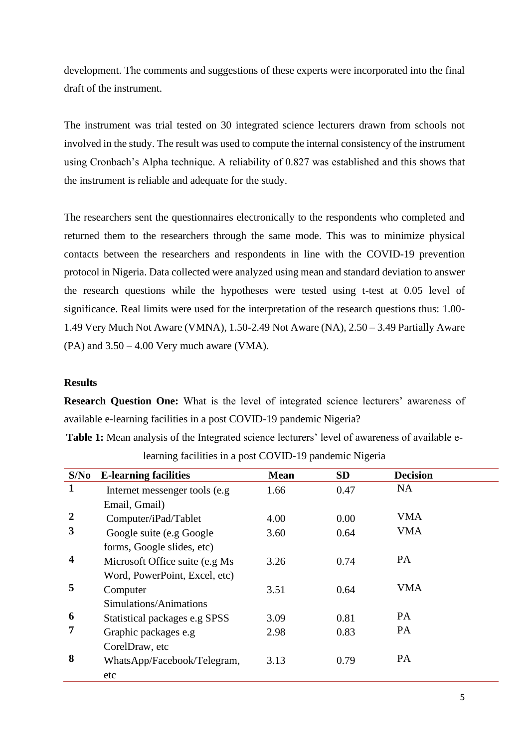development. The comments and suggestions of these experts were incorporated into the final draft of the instrument.

The instrument was trial tested on 30 integrated science lecturers drawn from schools not involved in the study. The result was used to compute the internal consistency of the instrument using Cronbach's Alpha technique. A reliability of 0.827 was established and this shows that the instrument is reliable and adequate for the study.

The researchers sent the questionnaires electronically to the respondents who completed and returned them to the researchers through the same mode. This was to minimize physical contacts between the researchers and respondents in line with the COVID-19 prevention protocol in Nigeria. Data collected were analyzed using mean and standard deviation to answer the research questions while the hypotheses were tested using t-test at 0.05 level of significance. Real limits were used for the interpretation of the research questions thus: 1.00- 1.49 Very Much Not Aware (VMNA), 1.50-2.49 Not Aware (NA), 2.50 – 3.49 Partially Aware  $(PA)$  and  $3.50 - 4.00$  Very much aware (VMA).

#### **Results**

**Research Question One:** What is the level of integrated science lecturers' awareness of available e-learning facilities in a post COVID-19 pandemic Nigeria?

**Table 1:** Mean analysis of the Integrated science lecturers' level of awareness of available elearning facilities in a post COVID-19 pandemic Nigeria

| S/No                    | <b>E-learning facilities</b>    | <b>Mean</b> | <b>SD</b> | <b>Decision</b> |  |
|-------------------------|---------------------------------|-------------|-----------|-----------------|--|
| $\mathbf{1}$            | Internet messenger tools (e.g.  | 1.66        | 0.47      | <b>NA</b>       |  |
|                         | Email, Gmail)                   |             |           |                 |  |
| $\boldsymbol{2}$        | Computer/iPad/Tablet            | 4.00        | 0.00      | <b>VMA</b>      |  |
| 3                       | Google suite (e.g Google        | 3.60        | 0.64      | <b>VMA</b>      |  |
|                         | forms, Google slides, etc)      |             |           |                 |  |
| $\overline{\mathbf{4}}$ | Microsoft Office suite (e.g Ms) | 3.26        | 0.74      | PA              |  |
|                         | Word, PowerPoint, Excel, etc)   |             |           |                 |  |
| 5                       | Computer                        | 3.51        | 0.64      | <b>VMA</b>      |  |
|                         | Simulations/Animations          |             |           |                 |  |
| 6                       | Statistical packages e.g SPSS   | 3.09        | 0.81      | PA              |  |
| 7                       | Graphic packages e.g            | 2.98        | 0.83      | PA              |  |
|                         | CorelDraw, etc                  |             |           |                 |  |
| 8                       | WhatsApp/Facebook/Telegram,     | 3.13        | 0.79      | PA              |  |
|                         | etc                             |             |           |                 |  |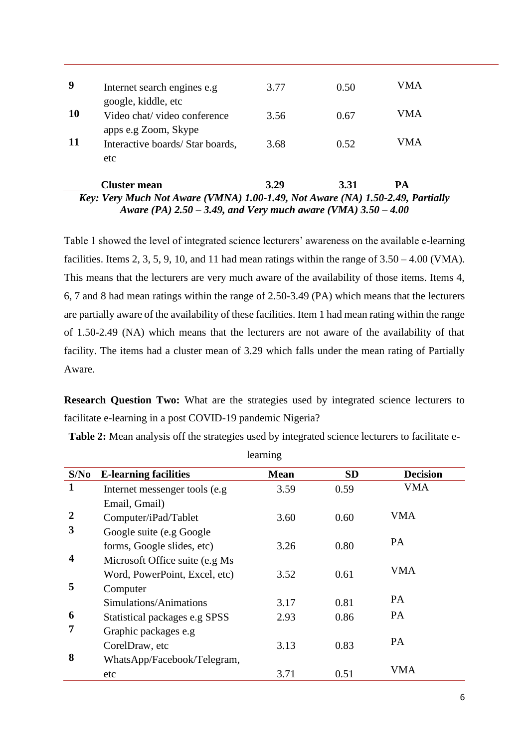| 3.29<br><b>Cluster mean</b><br>3.31<br>PA<br>Key: Very Much Not Aware (VMNA) 1.00-1.49, Not Aware (NA) 1.50-2.49, Partially |                                                     |      |      |     |  |
|-----------------------------------------------------------------------------------------------------------------------------|-----------------------------------------------------|------|------|-----|--|
| <b>11</b>                                                                                                                   | Interactive boards/Star boards,<br>etc              | 3.68 | 0.52 | VMA |  |
|                                                                                                                             | apps e.g Zoom, Skype                                |      |      |     |  |
| <b>10</b>                                                                                                                   | google, kiddle, etc<br>Video chat/ video conference | 3.56 | 0.67 | VMA |  |
| 9                                                                                                                           | Internet search engines e.g.                        | 3.77 | 0.50 | VMA |  |

*Aware (PA) 2.50 – 3.49, and Very much aware (VMA) 3.50 – 4.00*

Table 1 showed the level of integrated science lecturers' awareness on the available e-learning facilities. Items 2, 3, 5, 9, 10, and 11 had mean ratings within the range of  $3.50 - 4.00$  (VMA). This means that the lecturers are very much aware of the availability of those items. Items 4, 6, 7 and 8 had mean ratings within the range of 2.50-3.49 (PA) which means that the lecturers are partially aware of the availability of these facilities. Item 1 had mean rating within the range of 1.50-2.49 (NA) which means that the lecturers are not aware of the availability of that facility. The items had a cluster mean of 3.29 which falls under the mean rating of Partially Aware.

**Research Question Two:** What are the strategies used by integrated science lecturers to facilitate e-learning in a post COVID-19 pandemic Nigeria?

**Table 2:** Mean analysis off the strategies used by integrated science lecturers to facilitate e-

| S/No                    | <b>E-learning facilities</b>    | <b>Mean</b> | <b>SD</b> | <b>Decision</b> |
|-------------------------|---------------------------------|-------------|-----------|-----------------|
| $\mathbf{1}$            | Internet messenger tools (e.g.  | 3.59        | 0.59      | <b>VMA</b>      |
|                         | Email, Gmail)                   |             |           |                 |
| $\overline{2}$          | Computer/iPad/Tablet            | 3.60        | 0.60      | VMA             |
| 3                       | Google suite (e.g Google        |             |           |                 |
|                         | forms, Google slides, etc)      | 3.26        | 0.80      | PA              |
| $\overline{\mathbf{4}}$ | Microsoft Office suite (e.g Ms) |             |           |                 |
|                         | Word, PowerPoint, Excel, etc)   | 3.52        | 0.61      | <b>VMA</b>      |
| 5                       | Computer                        |             |           |                 |
|                         | Simulations/Animations          | 3.17        | 0.81      | PA              |
| 6                       | Statistical packages e.g SPSS   | 2.93        | 0.86      | PA              |
| 7                       | Graphic packages e.g            |             |           |                 |
|                         | CorelDraw, etc                  | 3.13        | 0.83      | PA              |
| 8                       | WhatsApp/Facebook/Telegram,     |             |           |                 |
|                         | etc                             | 3.71        | 0.51      | <b>VMA</b>      |

learning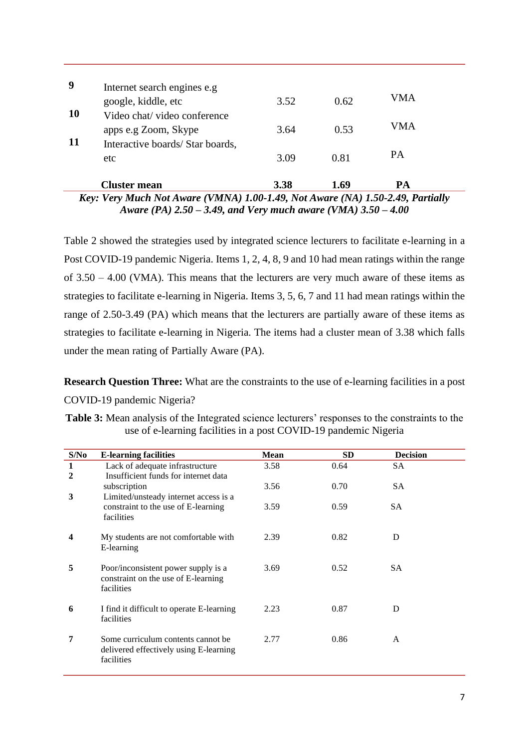| $- -$     | -------                                             | $\sim$ $\sim$ $\sim$ $\sim$ $\sim$ $\sim$ $\sim$ $\sim$ |      |           |  |
|-----------|-----------------------------------------------------|---------------------------------------------------------|------|-----------|--|
|           | <b>Cluster mean</b>                                 | 3.38                                                    | 1.69 | PA        |  |
| -11       | Interactive boards/Star boards,<br>etc              | 3.09                                                    | 0.81 | <b>PA</b> |  |
|           | apps e.g Zoom, Skype                                | 3.64                                                    | 0.53 | VMA       |  |
| <b>10</b> | Video chat/video conference                         |                                                         |      |           |  |
| 9         | Internet search engines e.g.<br>google, kiddle, etc | 3.52                                                    | 0.62 | VMA       |  |
|           |                                                     |                                                         |      |           |  |

*Key: Very Much Not Aware (VMNA) 1.00-1.49, Not Aware (NA) 1.50-2.49, Partially Aware (PA) 2.50 – 3.49, and Very much aware (VMA) 3.50 – 4.00*

Table 2 showed the strategies used by integrated science lecturers to facilitate e-learning in a Post COVID-19 pandemic Nigeria. Items 1, 2, 4, 8, 9 and 10 had mean ratings within the range of 3.50 – 4.00 (VMA). This means that the lecturers are very much aware of these items as strategies to facilitate e-learning in Nigeria. Items 3, 5, 6, 7 and 11 had mean ratings within the range of 2.50-3.49 (PA) which means that the lecturers are partially aware of these items as strategies to facilitate e-learning in Nigeria. The items had a cluster mean of 3.38 which falls under the mean rating of Partially Aware (PA).

**Research Question Three:** What are the constraints to the use of e-learning facilities in a post COVID-19 pandemic Nigeria?

**Table 3:** Mean analysis of the Integrated science lecturers' responses to the constraints to the use of e-learning facilities in a post COVID-19 pandemic Nigeria

| S/No   | <b>E-learning facilities</b>                                                                | <b>Mean</b> | <b>SD</b> | <b>Decision</b> |
|--------|---------------------------------------------------------------------------------------------|-------------|-----------|-----------------|
| 1<br>2 | Lack of adequate infrastructure<br>Insufficient funds for internet data                     | 3.58        | 0.64      | <b>SA</b>       |
| 3      | subscription<br>Limited/unsteady internet access is a                                       | 3.56        | 0.70      | SA.             |
|        | constraint to the use of E-learning<br>facilities                                           | 3.59        | 0.59      | SA              |
| 4      | My students are not comfortable with<br>E-learning                                          | 2.39        | 0.82      | D               |
| 5      | Poor/inconsistent power supply is a<br>constraint on the use of E-learning<br>facilities    | 3.69        | 0.52      | SА              |
| 6      | I find it difficult to operate E-learning<br>facilities                                     | 2.23        | 0.87      | D               |
| 7      | Some curriculum contents cannot be.<br>delivered effectively using E-learning<br>facilities | 2.77        | 0.86      | A               |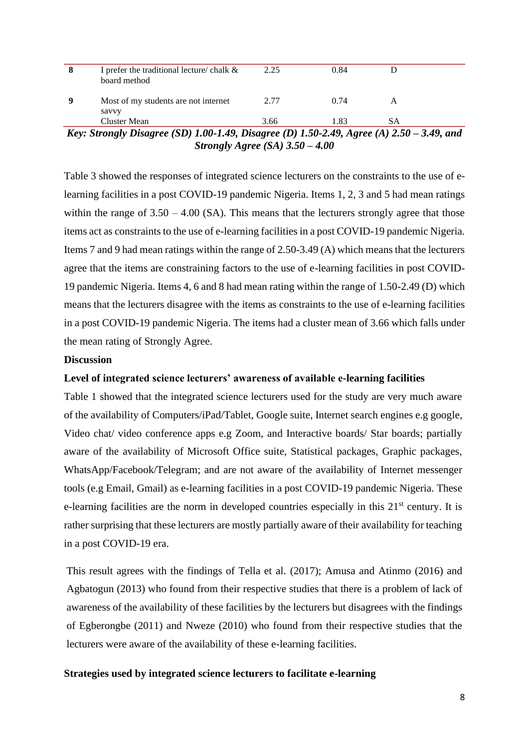| 8 | I prefer the traditional lecture/ chalk $\&$<br>board method | 2.25 | 0.84 |    |  |
|---|--------------------------------------------------------------|------|------|----|--|
|   | Most of my students are not internet<br>savvy                | 2.77 | 0.74 |    |  |
|   | Cluster Mean                                                 | 3.66 | 1.83 | SА |  |

*Key: Strongly Disagree (SD) 1.00-1.49, Disagree (D) 1.50-2.49, Agree (A) 2.50 – 3.49, and Strongly Agree (SA) 3.50 – 4.00*

Table 3 showed the responses of integrated science lecturers on the constraints to the use of elearning facilities in a post COVID-19 pandemic Nigeria. Items 1, 2, 3 and 5 had mean ratings within the range of  $3.50 - 4.00$  (SA). This means that the lecturers strongly agree that those items act as constraints to the use of e-learning facilities in a post COVID-19 pandemic Nigeria. Items 7 and 9 had mean ratings within the range of 2.50-3.49 (A) which means that the lecturers agree that the items are constraining factors to the use of e-learning facilities in post COVID-19 pandemic Nigeria. Items 4, 6 and 8 had mean rating within the range of 1.50-2.49 (D) which means that the lecturers disagree with the items as constraints to the use of e-learning facilities in a post COVID-19 pandemic Nigeria. The items had a cluster mean of 3.66 which falls under the mean rating of Strongly Agree.

#### **Discussion**

#### **Level of integrated science lecturers' awareness of available e-learning facilities**

Table 1 showed that the integrated science lecturers used for the study are very much aware of the availability of Computers/iPad/Tablet, Google suite, Internet search engines e.g google, Video chat/ video conference apps e.g Zoom, and Interactive boards/ Star boards; partially aware of the availability of Microsoft Office suite, Statistical packages, Graphic packages, WhatsApp/Facebook/Telegram; and are not aware of the availability of Internet messenger tools (e.g Email, Gmail) as e-learning facilities in a post COVID-19 pandemic Nigeria. These e-learning facilities are the norm in developed countries especially in this  $21<sup>st</sup>$  century. It is rather surprising that these lecturers are mostly partially aware of their availability for teaching in a post COVID-19 era.

This result agrees with the findings of Tella et al. (2017); Amusa and Atinmo (2016) and Agbatogun (2013) who found from their respective studies that there is a problem of lack of awareness of the availability of these facilities by the lecturers but disagrees with the findings of Egberongbe (2011) and Nweze (2010) who found from their respective studies that the lecturers were aware of the availability of these e-learning facilities.

#### **Strategies used by integrated science lecturers to facilitate e-learning**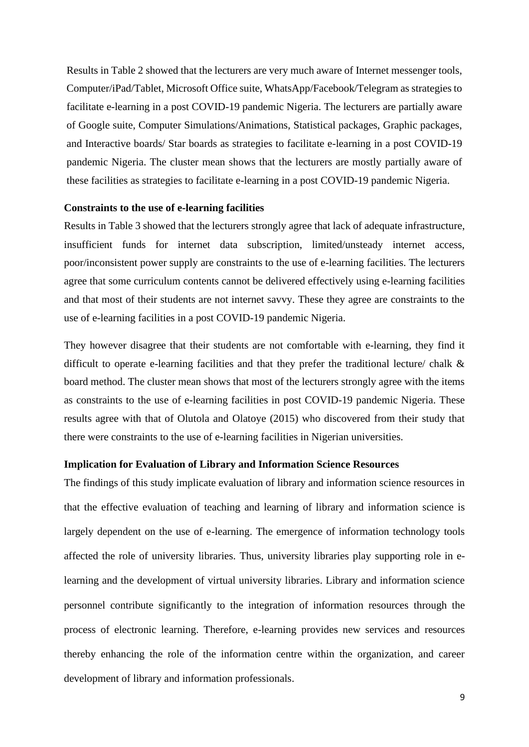Results in Table 2 showed that the lecturers are very much aware of Internet messenger tools, Computer/iPad/Tablet, Microsoft Office suite, WhatsApp/Facebook/Telegram as strategies to facilitate e-learning in a post COVID-19 pandemic Nigeria. The lecturers are partially aware of Google suite, Computer Simulations/Animations, Statistical packages, Graphic packages, and Interactive boards/ Star boards as strategies to facilitate e-learning in a post COVID-19 pandemic Nigeria. The cluster mean shows that the lecturers are mostly partially aware of these facilities as strategies to facilitate e-learning in a post COVID-19 pandemic Nigeria.

#### **Constraints to the use of e-learning facilities**

Results in Table 3 showed that the lecturers strongly agree that lack of adequate infrastructure, insufficient funds for internet data subscription, limited/unsteady internet access, poor/inconsistent power supply are constraints to the use of e-learning facilities. The lecturers agree that some curriculum contents cannot be delivered effectively using e-learning facilities and that most of their students are not internet savvy. These they agree are constraints to the use of e-learning facilities in a post COVID-19 pandemic Nigeria.

They however disagree that their students are not comfortable with e-learning, they find it difficult to operate e-learning facilities and that they prefer the traditional lecture/ chalk & board method. The cluster mean shows that most of the lecturers strongly agree with the items as constraints to the use of e-learning facilities in post COVID-19 pandemic Nigeria. These results agree with that of Olutola and Olatoye (2015) who discovered from their study that there were constraints to the use of e-learning facilities in Nigerian universities.

## **Implication for Evaluation of Library and Information Science Resources**

The findings of this study implicate evaluation of library and information science resources in that the effective evaluation of teaching and learning of library and information science is largely dependent on the use of e-learning. The emergence of information technology tools affected the role of university libraries. Thus, university libraries play supporting role in elearning and the development of virtual university libraries. Library and information science personnel contribute significantly to the integration of information resources through the process of electronic learning. Therefore, e-learning provides new services and resources thereby enhancing the role of the information centre within the organization, and career development of library and information professionals.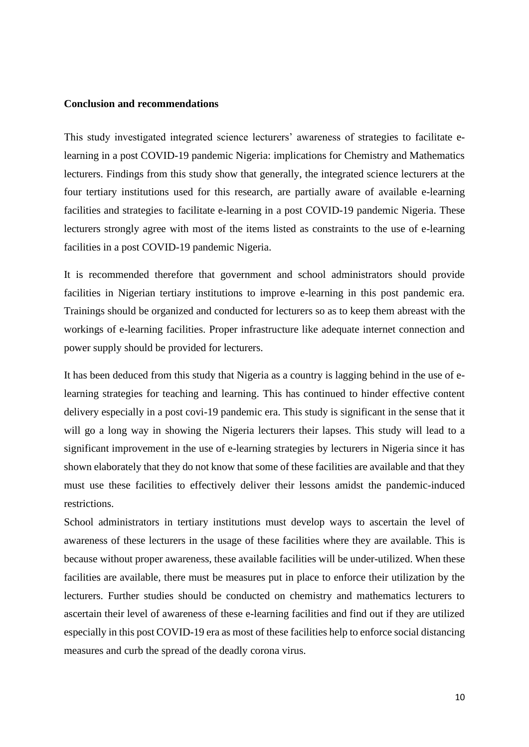### **Conclusion and recommendations**

This study investigated integrated science lecturers' awareness of strategies to facilitate elearning in a post COVID-19 pandemic Nigeria: implications for Chemistry and Mathematics lecturers. Findings from this study show that generally, the integrated science lecturers at the four tertiary institutions used for this research, are partially aware of available e-learning facilities and strategies to facilitate e-learning in a post COVID-19 pandemic Nigeria. These lecturers strongly agree with most of the items listed as constraints to the use of e-learning facilities in a post COVID-19 pandemic Nigeria.

It is recommended therefore that government and school administrators should provide facilities in Nigerian tertiary institutions to improve e-learning in this post pandemic era. Trainings should be organized and conducted for lecturers so as to keep them abreast with the workings of e-learning facilities. Proper infrastructure like adequate internet connection and power supply should be provided for lecturers.

It has been deduced from this study that Nigeria as a country is lagging behind in the use of elearning strategies for teaching and learning. This has continued to hinder effective content delivery especially in a post covi-19 pandemic era. This study is significant in the sense that it will go a long way in showing the Nigeria lecturers their lapses. This study will lead to a significant improvement in the use of e-learning strategies by lecturers in Nigeria since it has shown elaborately that they do not know that some of these facilities are available and that they must use these facilities to effectively deliver their lessons amidst the pandemic-induced restrictions.

School administrators in tertiary institutions must develop ways to ascertain the level of awareness of these lecturers in the usage of these facilities where they are available. This is because without proper awareness, these available facilities will be under-utilized. When these facilities are available, there must be measures put in place to enforce their utilization by the lecturers. Further studies should be conducted on chemistry and mathematics lecturers to ascertain their level of awareness of these e-learning facilities and find out if they are utilized especially in this post COVID-19 era as most of these facilities help to enforce social distancing measures and curb the spread of the deadly corona virus.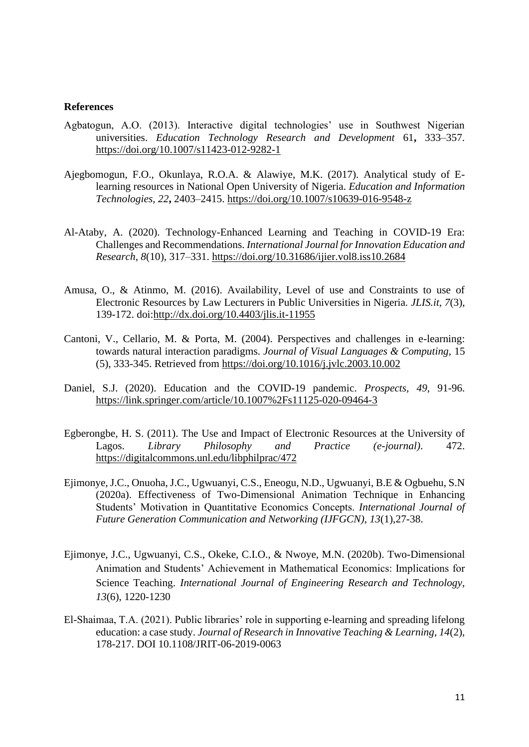#### **References**

- Agbatogun, A.O. (2013). Interactive digital technologies' use in Southwest Nigerian universities. *Education Technology Research and Development* 61**,** 333–357. <https://doi.org/10.1007/s11423-012-9282-1>
- Ajegbomogun, F.O., Okunlaya, R.O.A. & Alawiye, M.K. (2017). Analytical study of Elearning resources in National Open University of Nigeria. *Education and Information Technologies, 22***,** 2403–2415.<https://doi.org/10.1007/s10639-016-9548-z>
- Al-Ataby, A. (2020). Technology-Enhanced Learning and Teaching in COVID-19 Era: Challenges and Recommendations. *International Journal for Innovation Education and Research*, *8*(10), 317–331.<https://doi.org/10.31686/ijier.vol8.iss10.2684>
- Amusa, O., & Atinmo, M. (2016). Availability, Level of use and Constraints to use of Electronic Resources by Law Lecturers in Public Universities in Nigeria. *JLIS.it, 7*(3), 139-172. doi[:http://dx.doi.org/10.4403/jlis.it-11955](http://dx.doi.org/10.4403/jlis.it-11955)
- Cantoni, V., Cellario, M. & Porta, M. (2004). Perspectives and challenges in e-learning: towards natural interaction paradigms. *Journal of Visual Languages & Computing,* 15 (5), 333-345. Retrieved from<https://doi.org/10.1016/j.jvlc.2003.10.002>
- Daniel, S.J. (2020). Education and the COVID-19 pandemic. *Prospects, 49,* 91-96. <https://link.springer.com/article/10.1007%2Fs11125-020-09464-3>
- Egberongbe, H. S. (2011). The Use and Impact of Electronic Resources at the University of Lagos. *Library Philosophy and Practice (e-journal)*. 472. <https://digitalcommons.unl.edu/libphilprac/472>
- [Ejimonye, J.C., Onuoha, J.C., Ugwuanyi, C.S., Eneogu, N.D., Ugwuanyi, B.E & Ogbuehu, S.N](http://article.nadiapub.com/IJFGCN/vol13_no1/3.html)  [\(2020a\). Effectiveness of Two-Dimensional Animation Technique in Enhancing](http://article.nadiapub.com/IJFGCN/vol13_no1/3.html)  [Students' Motivation in Quantitative Economics Concepts.](http://article.nadiapub.com/IJFGCN/vol13_no1/3.html) *International Journal of [Future Generation Communication and Networking \(IJFGCN\), 13](http://article.nadiapub.com/IJFGCN/vol13_no1/3.html)*(1),27-38.
- Ejimonye, J.C., Ugwuanyi, C.S., Okeke, C.I.O., & Nwoye, M.N. (2020b). Two-Dimensional Animation and Students' Achievement in Mathematical Economics: Implications for Science Teaching. *International Journal of Engineering Research and Technology, 13*(6), 1220-1230
- El-Shaimaa, T.A. (2021). Public libraries' role in supporting e-learning and spreading lifelong education: a case study. *Journal of Research in Innovative Teaching & Learning, 14*(2), 178-217. DOI 10.1108/JRIT-06-2019-0063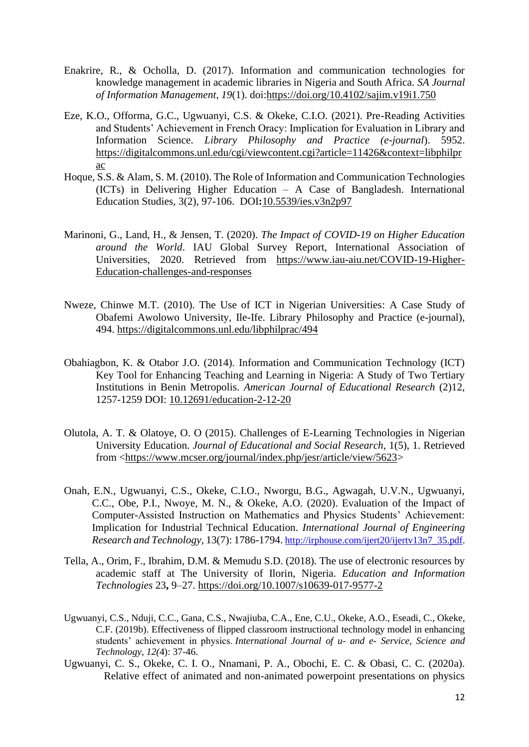- Enakrire, R., & Ocholla, D. (2017). Information and communication technologies for knowledge management in academic libraries in Nigeria and South Africa. *SA Journal of Information Management, 19*(1). doi[:https://doi.org/10.4102/sajim.v19i1.750](https://doi.org/10.4102/sajim.v19i1.750)
- Eze, K.O., Offorma, G.C., Ugwuanyi, C.S. & Okeke, C.I.O. (2021). Pre-Reading Activities and Students' Achievement in French Oracy: Implication for Evaluation in Library and Information Science. *Library Philosophy and Practice (e-journal*). 5952. [https://digitalcommons.unl.edu/cgi/viewcontent.cgi?article=11426&context=libphilpr](https://digitalcommons.unl.edu/cgi/viewcontent.cgi?article=11426&context=libphilprac) [ac](https://digitalcommons.unl.edu/cgi/viewcontent.cgi?article=11426&context=libphilprac)
- Hoque, S.S. & Alam, S. M. (2010). The Role of Information and Communication Technologies (ICTs) in Delivering Higher Education – A Case of Bangladesh. International Education Studies, 3(2), 97-106. DOI**:**[10.5539/ies.v3n2p97](https://doi.org/10.5539/ies.v3n2p97)
- Marinoni, G., Land, H., & Jensen, T. (2020). *The Impact of COVID-19 on Higher Education around the World*. IAU Global Survey Report, International Association of Universities, 2020. Retrieved from [https://www.iau-aiu.net/COVID-19-Higher-](https://www.iau-aiu.net/Covid-19-Higher-Education-challenges-and-responses)[Education-challenges-and-responses](https://www.iau-aiu.net/Covid-19-Higher-Education-challenges-and-responses)
- Nweze, Chinwe M.T. (2010). The Use of ICT in Nigerian Universities: A Case Study of Obafemi Awolowo University, Ile-Ife. Library Philosophy and Practice (e-journal), 494.<https://digitalcommons.unl.edu/libphilprac/494>
- Obahiagbon, K. & Otabor J.O. (2014). Information and Communication Technology (ICT) Key Tool for Enhancing Teaching and Learning in Nigeria: A Study of Two Tertiary Institutions in Benin Metropolis. *American Journal of Educational Research* (2)12, 1257-1259 DOI: [10.12691/education-2-12-20](https://www.researchgate.net/deref/http%3A%2F%2Fdx.doi.org%2F10.12691%2Feducation-2-12-20?_sg%5B0%5D=IIDSQM1bCG4xC3FKtb1IDeq2qtfPapRHBiK_F05CgDCoBdAZ58ou-z5kWYOqOkZck1VrmUZAuAjX-p5uf3RVs2tLwA.cxhvsk-U7dviNgwgqjm0tqReqf5A9LD32fzy98LR0Ptbn4WE6FAO-sZ87PQLicwVR6euA8_BjOhzO0YQZ4oodQ)
- Olutola, A. T. & Olatoye, O. O (2015). Challenges of E-Learning Technologies in Nigerian University Education. *Journal of Educational and Social Research*, 1(5), 1. Retrieved from [<https://www.mcser.org/journal/index.php/jesr/article/view/5623>](https://www.mcser.org/journal/index.php/jesr/article/view/5623)
- Onah, E.N., Ugwuanyi, C.S., Okeke, C.I.O., Nworgu, B.G., Agwagah, U.V.N., Ugwuanyi, C.C., Obe, P.I., Nwoye, M. N., & Okeke, A.O. (2020). Evaluation of the Impact of Computer-Assisted Instruction on Mathematics and Physics Students' Achievement: Implication for Industrial Technical Education. *International Journal of Engineering Research and Technology*, 13(7): 1786-1794. [http://irphouse.com/ijert20/ijertv13n7\\_35.pdf.](http://irphouse.com/ijert20/ijertv13n7_35.pdf)
- Tella, A., Orim, F., Ibrahim, D.M. & Memudu S.D. (2018)*.* The use of electronic resources by academic staff at The University of Ilorin, Nigeria. *Education and Information Technologies* 23**,** 9–27.<https://doi.org/10.1007/s10639-017-9577-2>
- Ugwuanyi, C.S., Nduji, C.C., Gana, C.S., Nwajiuba, C.A., Ene, C.U., Okeke, A.O., Eseadi, C., Okeke, C.F. (2019b). Effectiveness of flipped classroom instructional technology model in enhancing students' achievement in physics. *International Journal of u- and e- Service, Science and Technology*, *12(*4): 37-46.
- Ugwuanyi, C. S., Okeke, C. I. O., Nnamani, P. A., Obochi, E. C. & Obasi, C. C. (2020a). Relative effect of animated and non-animated powerpoint presentations on physics